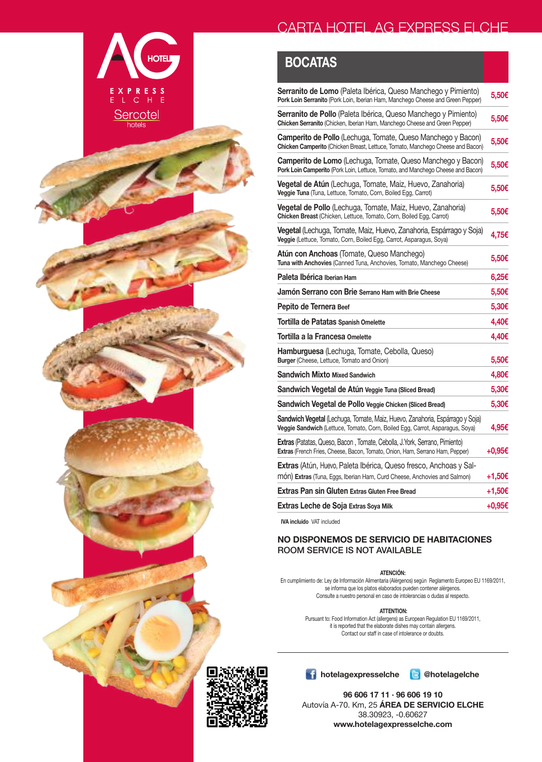## **BOCATAS**

**HOTEL** 

EXPRESS<br>E L C H E

Sercotel

| <b>Serranito de Lomo</b> (Paleta Ibérica, Queso Manchego y Pimiento)<br>Pork Loin Serranito (Pork Loin, Iberian Ham, Manchego Cheese and Green Pepper)              | 5,50€  |
|---------------------------------------------------------------------------------------------------------------------------------------------------------------------|--------|
| <b>Serranito de Pollo</b> (Paleta Ibérica, Queso Manchego y Pimiento)<br>Chicken Serranito (Chicken, Iberian Ham, Manchego Cheese and Green Pepper)                 | 5,50€  |
| Camperito de Pollo (Lechuga, Tomate, Queso Manchego y Bacon)<br>Chicken Camperito (Chicken Breast, Lettuce, Tomato, Manchego Cheese and Bacon)                      | 5,50€  |
| Camperito de Lomo (Lechuga, Tomate, Queso Manchego y Bacon)<br>Pork Loin Camperito (Pork Loin, Lettuce, Tomato, and Manchego Cheese and Bacon)                      | 5,50€  |
| <b>Vegetal de Atún</b> (Lechuga, Tomate, Maiz, Huevo, Zanahoria)<br>Veggie Tuna (Tuna, Lettuce, Tomato, Corn, Boiled Egg, Carrot)                                   | 5,50€  |
| <b>Vegetal de Pollo</b> (Lechuga, Tomate, Maiz, Huevo, Zanahoria)<br>Chicken Breast (Chicken, Lettuce, Tomato, Corn, Boiled Egg, Carrot)                            | 5,50€  |
| Vegetal (Lechuga, Tomate, Maiz, Huevo, Zanahoria, Espárrago y Soja)<br>Veggie (Lettuce, Tomato, Corn, Boiled Egg, Carrot, Asparagus, Soya)                          | 4,75€  |
| Atún con Anchoas (Tomate, Queso Manchego)<br>Tuna with Anchovies (Canned Tuna, Anchovies, Tomato, Manchego Cheese)                                                  | 5,50€  |
| Paleta Ibérica Iberian Ham                                                                                                                                          | 6,25€  |
| Jamón Serrano con Brie Serrano Ham with Brie Cheese                                                                                                                 | 5,50€  |
| Pepito de Ternera Beef                                                                                                                                              | 5,30€  |
| <b>Tortilla de Patatas Spanish Omelette</b>                                                                                                                         | 4,40€  |
| Tortilla a la Francesa Omelette                                                                                                                                     | 4,40€  |
| <b>Hamburguesa</b> (Lechuga, Tomate, Cebolla, Queso)<br><b>Burger</b> (Cheese, Lettuce, Tomato and Onion)                                                           | 5,50€  |
| <b>Sandwich Mixto Mixed Sandwich</b>                                                                                                                                | 4,80€  |
| Sandwich Vegetal de Atún Veggie Tuna (Sliced Bread)                                                                                                                 | 5,30€  |
| Sandwich Vegetal de Pollo Veggie Chicken (Sliced Bread)                                                                                                             | 5,30€  |
| <b>Sandwich Vegetal</b> (Lechuga, Tomate, Maiz, Huevo, Zanahoria, Espárrago y Soja)<br>Veggie Sandwich (Lettuce, Tomato, Corn, Boiled Egg, Carrot, Asparagus, Soya) | 4,95€  |
| Extras (Patatas, Queso, Bacon, Tomate, Cebolla, J.York, Serrano, Pimiento)<br>Extras (French Fries, Cheese, Bacon, Tomato, Onion, Ham, Serrano Ham, Pepper)         | +0,95€ |
| <b>Extras</b> (Atún, Huevo, Paleta Ibérica, Queso fresco, Anchoas y Sal-<br>món) Extras (Tuna, Eggs, Iberian Ham, Curd Cheese, Anchovies and Salmon)                | +1,50€ |
|                                                                                                                                                                     |        |
| <b>Extras Pan sin Gluten Extras Gluten Free Bread</b>                                                                                                               | +1,50€ |
| <b>Extras Leche de Soja Extras Soya Milk</b>                                                                                                                        | +0,95€ |

Pursuant to: Food Information Act (allergens) as European Regulation EU 1169/2011, it is reported that the elaborate dishes may contain allergens. Contact our staff in case of intolerance or doubts.



#### **hotelagexpresselche B** @hotelagelche



**IVA incluido** VAT included

#### **NO DISPONEMOS DE SERVICIO DE HABITACIONES** ROOM SERVICE IS NOT AVAILABLE



**96 606 17 11 · 96 606 19 10** Autovía A-70. Km, 25 **ÁREA DE SERVICIO ELCHE** 38.30923, -0.60627 **www.hotelagexpresselche.com**

#### **ATENCIÓN:**

En cumplimiento de: Ley de Información Alimentaria (Alérgenos) según Reglamento Europeo EU 1169/2011, se informa que los platos elaborados pueden contener alérgenos. Consulte a nuestro personal en caso de intolerancias o dudas al respecto.

#### **ATTENTION:**